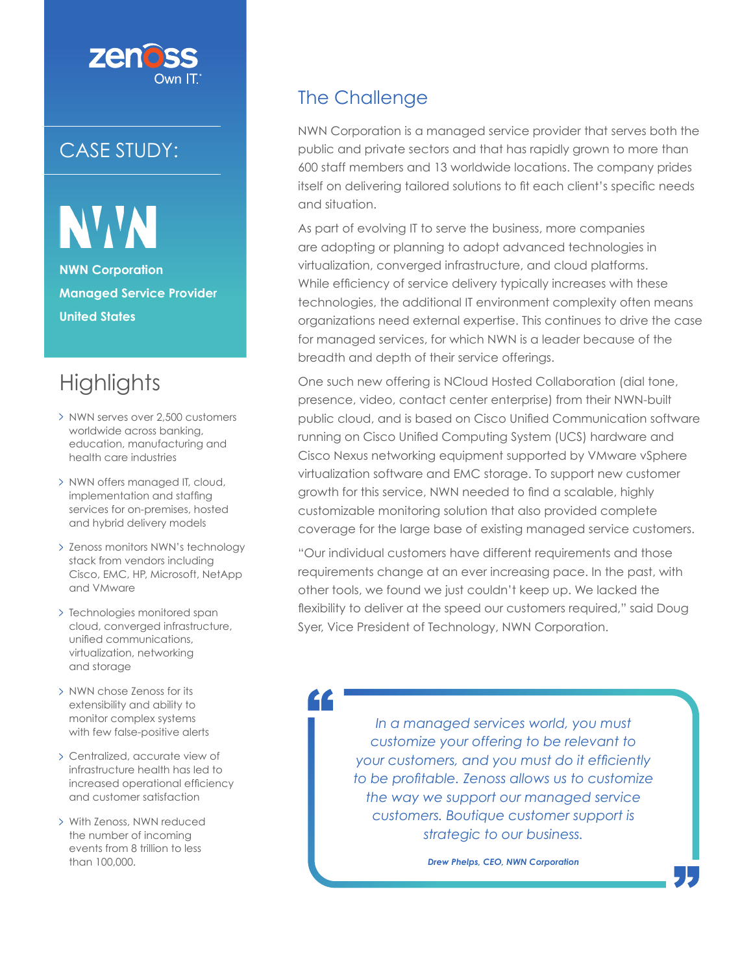

### CASE STUDY:

NW **NWN Corporation Managed Service Provider United States**

## **Highlights**

- > NWN serves over 2,500 customers worldwide across banking, education, manufacturing and health care industries
- > NWN offers managed IT, cloud, implementation and staffing services for on-premises, hosted and hybrid delivery models
- > Zenoss monitors NWN's technology stack from vendors including Cisco, EMC, HP, Microsoft, NetApp and VMware
- > Technologies monitored span cloud, converged infrastructure, unified communications, virtualization, networking and storage
- > NWN chose Zenoss for its extensibility and ability to monitor complex systems with few false-positive alerts
- Centralized, accurate view of infrastructure health has led to increased operational efficiency and customer satisfaction
- With Zenoss, NWN reduced the number of incoming events from 8 trillion to less than 100,000.

#### The Challenge

££

NWN Corporation is a managed service provider that serves both the public and private sectors and that has rapidly grown to more than 600 staff members and 13 worldwide locations. The company prides itself on delivering tailored solutions to fit each client's specific needs and situation.

As part of evolving IT to serve the business, more companies are adopting or planning to adopt advanced technologies in virtualization, converged infrastructure, and cloud platforms. While efficiency of service delivery typically increases with these technologies, the additional IT environment complexity often means organizations need external expertise. This continues to drive the case for managed services, for which NWN is a leader because of the breadth and depth of their service offerings.

One such new offering is NCloud Hosted Collaboration (dial tone, presence, video, contact center enterprise) from their NWN-built public cloud, and is based on Cisco Unified Communication software running on Cisco Unified Computing System (UCS) hardware and Cisco Nexus networking equipment supported by VMware vSphere virtualization software and EMC storage. To support new customer growth for this service, NWN needed to find a scalable, highly customizable monitoring solution that also provided complete coverage for the large base of existing managed service customers.

"Our individual customers have different requirements and those requirements change at an ever increasing pace. In the past, with other tools, we found we just couldn't keep up. We lacked the flexibility to deliver at the speed our customers required," said Doug Syer, Vice President of Technology, NWN Corporation.

> *In a managed services world, you must customize your offering to be relevant to*  your customers, and you must do it efficiently *to be profi table. Zenoss allows us to customize the way we support our managed service customers. Boutique customer support is strategic to our business.*

> > *Drew Phelps, CEO, NWN Corporation*